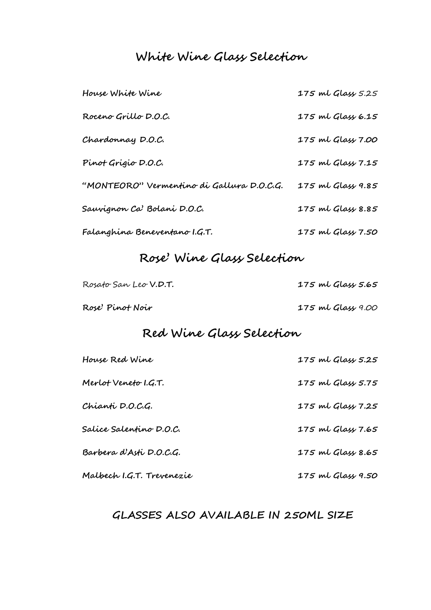# **White Wine Glass Selection**

| House White Wine                          | 175 ml Glass 5.25 |
|-------------------------------------------|-------------------|
| Roceno Grillo D.O.C.                      | 175 ml Glass 6.15 |
| Chardonnay D.O.C.                         | 175 ml Glass 7.00 |
| Pinot Grigio D.O.C.                       | 175 ml Glass 7.15 |
| "MONTEORO" Vermentino di Gallura D.O.C.G. | 175 ml Glass 9.85 |
| Sauvignon Ca' Bolani D.O.C.               | 175 ml Glass 8.85 |
| Falanghina Beneventano I.G.T.             | 175 ml Glass 7.50 |

# **Rose' Wine Glass Selection**

| Rosato San Leo V.D.T. | 175 ml Glass 5.65 |  |  |
|-----------------------|-------------------|--|--|
| Rose' Pinot Noir      | 175 ml Glass 9.00 |  |  |

# **Red Wine Glass Selection**

| House Red Wine            | 175 ml Glass 5.25 |
|---------------------------|-------------------|
| Merlot Veneto I.G.T.      | 175 ml Glass 5.75 |
| Chianti D.O.C.G.          | 175 ml Glass 7.25 |
| Salice Salentino D.O.C.   | 175 ml Glass 7.65 |
| Barbera d'Asti D.O.C.G.   | 175 ml Glass 8.65 |
| Malbech I.G.T. Trevenezie | 175 ml Glass 9.50 |

# **GLASSES ALSO AVAILABLE IN 250ML SIZE**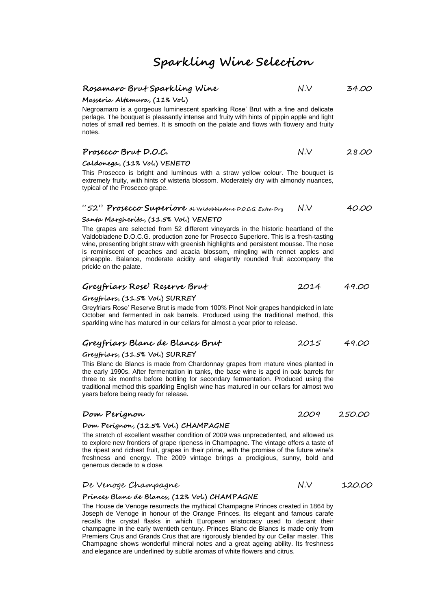# **Rosamaro Brut Sparkling Wine** N.V 34.00

**Masseria Altemura, (11% Vol.)** 

Negroamaro is a gorgeous luminescent sparkling Rose' Brut with a fine and delicate perlage. The bouquet is pleasantly intense and fruity with hints of pippin apple and light notes of small red berries. It is smooth on the palate and flows with flowery and fruity notes.

| Prosecco Brut D.O.C. | N.V | 28.00 |
|----------------------|-----|-------|

#### **Caldonega, (11% Vol.) VENETO**

This Prosecco is bright and luminous with a straw yellow colour. The bouquet is extremely fruity, with hints of wisteria blossom. Moderately dry with almondy nuances, typical of the Prosecco grape.

#### "52" **Prosecco Superiore di Valdobbiadene D.O.C.G. Extra Dry** N.V 40.00

# **Santa Margherita, (11.5% Vol.) VENETO**

The grapes are selected from 52 different vineyards in the historic heartland of the Valdobiadene D.O.C.G. production zone for Prosecco Superiore. This is a fresh-tasting wine, presenting bright straw with greenish highlights and persistent mousse. The nose is reminiscent of peaches and acacia blossom, mingling with rennet apples and pineapple. Balance, moderate acidity and elegantly rounded fruit accompany the prickle on the palate.

#### Greyfriary Rose' Reserve Brut **2014** 49.00

#### **Greyfriars, (11.5% Vol.) SURREY**

Greyfriars Rose' Reserve Brut is made from 100% Pinot Noir grapes handpicked in late October and fermented in oak barrels. Produced using the traditional method, this sparkling wine has matured in our cellars for almost a year prior to release.

## **Greyfriars Blanc de Blancs Brut** 2015 49.00

#### **Greyfriars, (11.5% Vol.) SURREY**

This Blanc de Blancs is made from Chardonnay grapes from mature vines planted in the early 1990s. After fermentation in tanks, the base wine is aged in oak barrels for three to six months before bottling for secondary fermentation. Produced using the traditional method this sparkling English wine has matured in our cellars for almost two years before being ready for release.

#### **Dom Perignon** 2009 250.00

#### **Dom Perignon, (12.5% Vol.) CHAMPAGNE**

The stretch of excellent weather condition of 2009 was unprecedented, and allowed us to explore new frontiers of grape ripeness in Champagne. The vintage offers a taste of the ripest and richest fruit, grapes in their prime, with the promise of the future wine's freshness and energy. The 2009 vintage brings a prodigious, sunny, bold and generous decade to a close.

#### De Venoge Champagne N.V 120.00

#### **Princes Blanc de Blancs, (12% Vol.) CHAMPAGNE**

The House de Venoge resurrects the mythical Champagne Princes created in 1864 by Joseph de Venoge in honour of the Orange Princes. Its elegant and famous carafe recalls the crystal flasks in which European aristocracy used to decant their champagne in the early twentieth century. Princes Blanc de Blancs is made only from Premiers Crus and Grands Crus that are rigorously blended by our Cellar master. This Champagne shows wonderful mineral notes and a great ageing ability. Its freshness and elegance are underlined by subtle aromas of white flowers and citrus.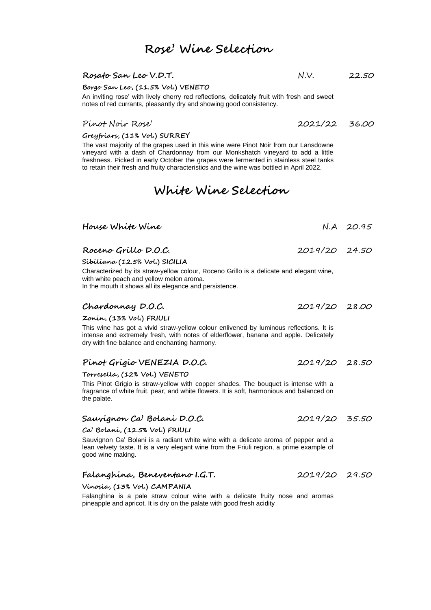# **Rose' Wine Selection**

# **Rosato San Leo V.D.T.** N.V. 22.50

**Borgo San Leo, (11.5% Vol.) VENETO**

An inviting rose' with lively cherry red reflections, delicately fruit with fresh and sweet notes of red currants, pleasantly dry and showing good consistency.

# Pinot Noir Rose' 2021/22 36.00

**Greyfriars, (11% Vol.) SURREY**

The vast majority of the grapes used in this wine were Pinot Noir from our Lansdowne vineyard with a dash of Chardonnay from our Monkshatch vineyard to add a little freshness. Picked in early October the grapes were fermented in stainless steel tanks to retain their fresh and fruity characteristics and the wine was bottled in April 2022.

# **White Wine Selection**

| House White Wine                                                                                                                                                                                                                |               | $N.A$ 20.95 |
|---------------------------------------------------------------------------------------------------------------------------------------------------------------------------------------------------------------------------------|---------------|-------------|
| Roceno Grillo D.O.C.                                                                                                                                                                                                            | 2019/20 24.50 |             |
| Sibiliana (12.5% Vol.) SICILIA                                                                                                                                                                                                  |               |             |
| Characterized by its straw-yellow colour, Roceno Grillo is a delicate and elegant wine,<br>with white peach and yellow melon aroma.<br>In the mouth it shows all its elegance and persistence.                                  |               |             |
| Chardonnay D.O.C.                                                                                                                                                                                                               | 2019/20 28.00 |             |
| Zonin, (13% Vol.) FRIULI                                                                                                                                                                                                        |               |             |
| This wine has got a vivid straw-yellow colour enlivened by luminous reflections. It is<br>intense and extremely fresh, with notes of elderflower, banana and apple. Delicately<br>dry with fine balance and enchanting harmony. |               |             |
| Pinot Grigio VENEZIA D.O.C.                                                                                                                                                                                                     | 2019/20 28.50 |             |
| Torresella, (12% Vol.) VENETO                                                                                                                                                                                                   |               |             |
| 그대로 그 사람들은 그 사람들을 지원하는 것 같아. 그 사람들은 그 사람들은 그 사람들을 지원하고 있다. 그 사람들은 그 사람들은 그 사람들을 지원하고 있다.                                                                                                                                        |               |             |

This Pinot Grigio is straw-yellow with copper shades. The bouquet is intense with a fragrance of white fruit, pear, and white flowers. It is soft, harmonious and balanced on the palate.

# **Sauvignon Ca' Bolani D.O.C.** 2019/20 35.50

**Ca' Bolani, (12.5% Vol.) FRIULI**

Sauvignon Ca' Bolani is a radiant white wine with a delicate aroma of pepper and a lean velvety taste. It is a very elegant wine from the Friuli region, a prime example of good wine making.

# **Falanghina, Beneventano I.G.T.** 2019/20 29.50

**Vinosia, (13% Vol.) CAMPANIA**

Falanghina is a pale straw colour wine with a delicate fruity nose and aromas pineapple and apricot. It is dry on the palate with good fresh acidity

- 
- 
-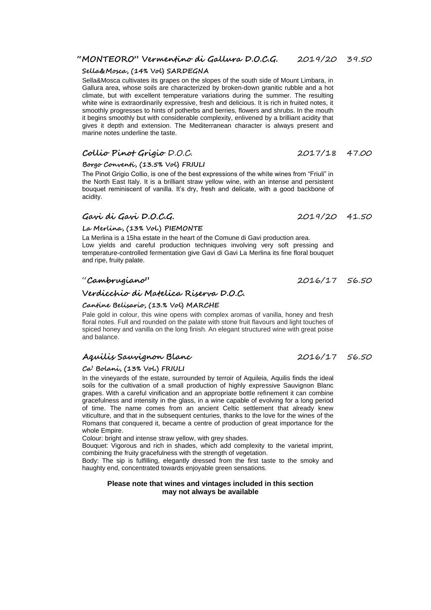# **"MONTEORO" Vermentino di Gallura D.O.C.G.** 2019/20 39.50

## **Sella&Mosca, (14% Vol) SARDEGNA**

Sella&Mosca cultivates its grapes on the slopes of the south side of Mount Limbara, in Gallura area, whose soils are characterized by broken-down granitic rubble and a hot climate, but with excellent temperature variations during the summer. The resulting white wine is extraordinarily expressive, fresh and delicious. It is rich in fruited notes, it smoothly progresses to hints of potherbs and berries, flowers and shrubs. In the mouth it begins smoothly but with considerable complexity, enlivened by a brilliant acidity that gives it depth and extension. The Mediterranean character is always present and marine notes underline the taste.

# **Collio Pinot Grigio** D.O.C. 2017/18 47.00

# **Borgo Conventi, (13.5% Vol) FRIULI**

The Pinot Grigio Collio, is one of the best expressions of the white wines from "Friuli" in the North East Italy. It is a brilliant straw yellow wine, with an intense and persistent bouquet reminiscent of vanilla. It's dry, fresh and delicate, with a good backbone of acidity.

# **Gavi di Gavi D.O.C.G.** 2019/20 41.50

# **La Merlina, (13% Vol.) PIEMONTE**

La Merlina is a 15ha estate in the heart of the Comune di Gavi production area. Low yields and careful production techniques involving very soft pressing and temperature-controlled fermentation give Gavi di Gavi La Merlina its fine floral bouquet and ripe, fruity palate.

# **Verdicchio di Matelica Riserva D.O.C.**

## **Cantine Belisario, (13.% Vol) MARCHE**

Pale gold in colour, this wine opens with complex aromas of vanilla, honey and fresh floral notes. Full and rounded on the palate with stone fruit flavours and light touches of spiced honey and vanilla on the long finish. An elegant structured wine with great poise and balance.

# **Aquilis Sauvignon Blanc** 2016/17 56.50

**Ca' Bolani, (13% Vol.) FRIULI**

In the vineyards of the estate, surrounded by terroir of Aquileia, Aquilis finds the ideal soils for the cultivation of a small production of highly expressive Sauvignon Blanc grapes. With a careful vinification and an appropriate bottle refinement it can combine gracefulness and intensity in the glass, in a wine capable of evolving for a long period of time. The name comes from an ancient Celtic settlement that already knew viticulture, and that in the subsequent centuries, thanks to the love for the wines of the Romans that conquered it, became a centre of production of great importance for the whole Empire.

Colour: bright and intense straw yellow, with grey shades.

Bouquet: Vigorous and rich in shades, which add complexity to the varietal imprint, combining the fruity gracefulness with the strength of vegetation.

Body: The sip is fulfilling, elegantly dressed from the first taste to the smoky and haughty end, concentrated towards enjoyable green sensations.

#### **Please note that wines and vintages included in this section may not always be available**

"**Cambrugiano"** 2016/17 56.50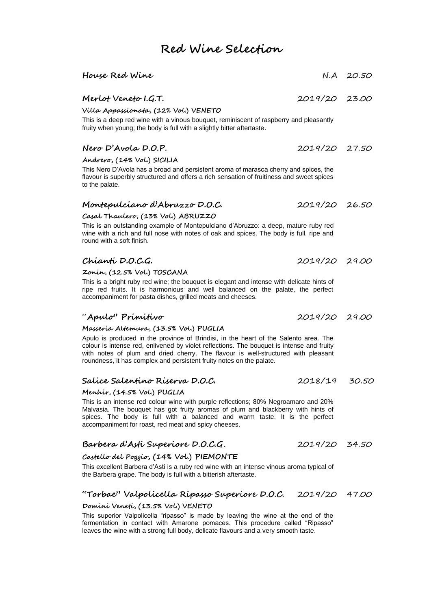# **Red Wine Selection**

| House Red Wine                                                                                                                                                   |               | N.A 20.50 |
|------------------------------------------------------------------------------------------------------------------------------------------------------------------|---------------|-----------|
| Merlot Veneto I.G.T.                                                                                                                                             | 2019/20 23.00 |           |
| Villa Appazzionata, (12% Vol.) VENETO                                                                                                                            |               |           |
| This is a deep red wine with a vinous bouguet, reminiscent of raspberry and pleasantly<br>fruity when young; the body is full with a slightly bitter aftertaste. |               |           |
| Nero D'Avola D.O.P.                                                                                                                                              | 2019/20 27.50 |           |
| Andrero, (14% Vol.) SICILIA                                                                                                                                      |               |           |

This Nero D'Avola has a broad and persistent aroma of marasca cherry and spices, the flavour is superbly structured and offers a rich sensation of fruitiness and sweet spices to the palate.

### **Montepulciano d'Abruzzo D.O.C.** 2019/20 26.50

#### **Casal Thaulero, (13% Vol.) ABRUZZO**

This is an outstanding example of Montepulciano d'Abruzzo: a deep, mature ruby red wine with a rich and full nose with notes of oak and spices. The body is full, ripe and round with a soft finish.

#### **Chianti D.O.C.G.** 2019/20 29.00

**Zonin, (12.5% Vol.) TOSCANA**

This is a bright ruby red wine; the bouquet is elegant and intense with delicate hints of ripe red fruits. It is harmonious and well balanced on the palate, the perfect accompaniment for pasta dishes, grilled meats and cheeses.

## "**Apulo" Primitivo** 2019/20 29.00

#### **Masseria Altemura, (13.5% Vol.) PUGLIA**

Apulo is produced in the province of Brindisi, in the heart of the Salento area. The colour is intense red, enlivened by violet reflections. The bouquet is intense and fruity with notes of plum and dried cherry. The flavour is well-structured with pleasant roundness, it has complex and persistent fruity notes on the palate.

#### **Salice Salentino Riserva D.O.C.** 2018/19 30.50

#### **Menhir, (14.5% Vol.) PUGLIA**

This is an intense red colour wine with purple reflections; 80% Negroamaro and 20% Malvasia. The bouquet has got fruity aromas of plum and blackberry with hints of spices. The body is full with a balanced and warm taste. It is the perfect accompaniment for roast, red meat and spicy cheeses.

# **Barbera d'Asti Superiore D.O.C.G.** 2019/20 34.50

#### **Castello del Poggio, (14% Vol.) PIEMONTE**

This excellent Barbera d'Asti is a ruby red wine with an intense vinous aroma typical of the Barbera grape. The body is full with a bitterish aftertaste.

#### **"Torbae" Valpolicella Ripasso Superiore D.O.C.** 2019/20 47.00

#### **Domini Veneti, (13.5% Vol.) VENETO**

This superior Valpolicella "ripasso" is made by leaving the wine at the end of the fermentation in contact with Amarone pomaces. This procedure called "Ripasso" leaves the wine with a strong full body, delicate flavours and a very smooth taste.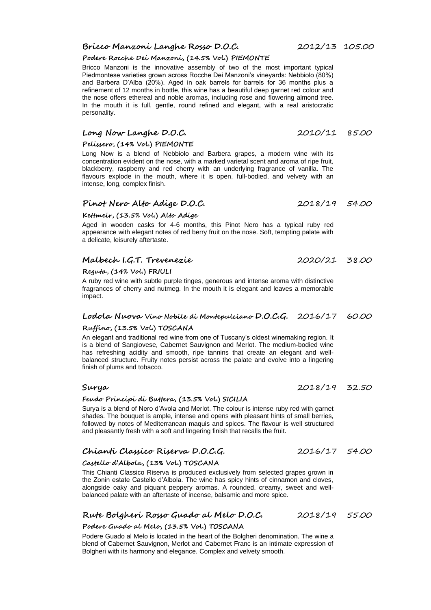**Podere Rocche Dei Manzoni, (14.5% Vol.) PIEMONTE**

the nose offers ethereal and noble aromas, including rose and flowering almond tree. In the mouth it is full, gentle, round refined and elegant, with a real aristocratic personality.

Bricco Manzoni is the innovative assembly of two of the most important typical Piedmontese varieties grown across Rocche Dei Manzoni's vineyards: Nebbiolo (80%)

# **Long Now Langhe D.O.C.** 2010/11 85.00

# **Pelissero, (14% Vol.) PIEMONTE**

Long Now is a blend of Nebbiolo and Barbera grapes, a modern wine with its concentration evident on the nose, with a marked varietal scent and aroma of ripe fruit, blackberry, raspberry and red cherry with an underlying fragrance of vanilla. The flavours explode in the mouth, where it is open, full-bodied, and velvety with an intense, long, complex finish.

# **Pinot Nero Alto Adige D.O.C.** 2018/19 54.00

## **Kettmeir, (13.5% Vol.) Alto Adige**

Aged in wooden casks for 4-6 months, this Pinot Nero has a typical ruby red appearance with elegant notes of red berry fruit on the nose. Soft, tempting palate with a delicate, leisurely aftertaste.

## **Malbech I.G.T. Trevenezie** 2020/21 38.00

**Reguta, (14% Vol.) FRIULI**

A ruby red wine with subtle purple tinges, generous and intense aroma with distinctive fragrances of cherry and nutmeg. In the mouth it is elegant and leaves a memorable impact.

#### **Lodola Nuova Vino Nobile di Montepulciano D.O.C.G.** 2016/17 60.00

## **Ruffino, (13.5% Vol.) TOSCANA**

An elegant and traditional red wine from one of Tuscany's oldest winemaking region. It is a blend of Sangiovese, Cabernet Sauvignon and Merlot. The medium-bodied wine has refreshing acidity and smooth, ripe tannins that create an elegant and wellbalanced structure. Fruity notes persist across the palate and evolve into a lingering finish of plums and tobacco.

## **Feudo Principi di Buttera, (13.5% Vol.) SICILIA**

Surya is a blend of Nero d'Avola and Merlot. The colour is intense ruby red with garnet shades. The bouquet is ample, intense and opens with pleasant hints of small berries, followed by notes of Mediterranean maquis and spices. The flavour is well structured and pleasantly fresh with a soft and lingering finish that recalls the fruit.

# **Chianti Classico Riserva D.O.C.G.** 2016/17 54.00

## **Castello d'Albola, (13% Vol.) TOSCANA**

This Chianti Classico Riserva is produced exclusively from selected grapes grown in the Zonin estate Castello d'Albola. The wine has spicy hints of cinnamon and cloves, alongside oaky and piquant peppery aromas. A rounded, creamy, sweet and wellbalanced palate with an aftertaste of incense, balsamic and more spice.

# **Rute Bolgheri Rosso Guado al Melo D.O.C.** 2018/19 55.00

# **Podere Guado al Melo, (13.5% Vol.) TOSCANA**

Podere Guado al Melo is located in the heart of the Bolgheri denomination. The wine a blend of Cabernet Sauvignon, Merlot and Cabernet Franc is an intimate expression of Bolgheri with its harmony and elegance. Complex and velvety smooth.

**Surya** 2018/19 32.50